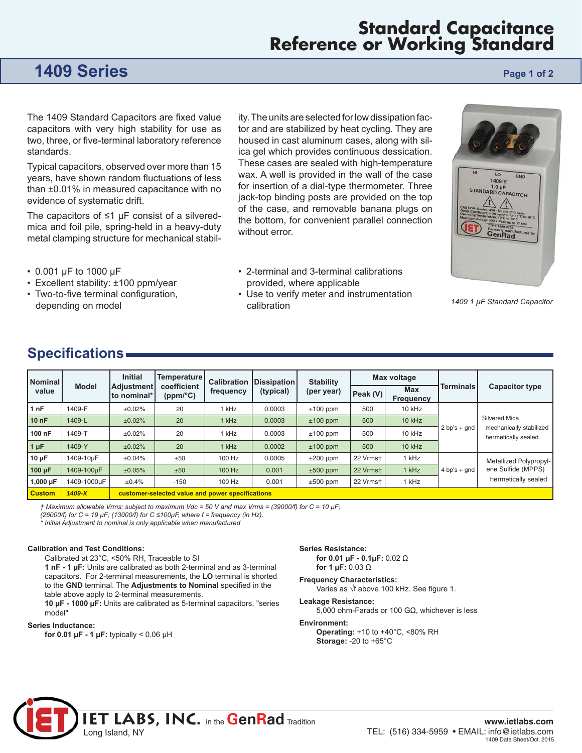## **Standard Capacitance Reference or Working Standard**

## **1409 Series Page 1 of 2 Page 1 of 2**

The 1409 Standard Capacitors are fixed value capacitors with very high stability for use as two, three, or five-terminal laboratory reference standards.

Typical capacitors, observed over more than 15 years, have shown random fluctuations of less than ±0.01% in measured capacitance with no evidence of systematic drift.

The capacitors of  $\leq 1$  µF consist of a silveredmica and foil pile, spring-held in a heavy-duty metal clamping structure for mechanical stability. The units are selected for low dissipation factor and are stabilized by heat cycling. They are housed in cast aluminum cases, along with silica gel which provides continuous dessication. These cases are sealed with high-temperature wax. A well is provided in the wall of the case for insertion of a dial-type thermometer. Three jack-top binding posts are provided on the top of the case, and removable banana plugs on the bottom, for convenient parallel connection without error.

- 2-terminal and 3-terminal calibrations provided, where applicable
- *1409 1 μF Standard Capacitor*
- 0.001 μF to 1000 μF
- Excellent stability: ±100 ppm/year
- Two-to-five terminal configuration, depending on model
- 
- Use to verify meter and instrumentation calibration

### **Specifications**

| <b>Nominal</b><br>value | <b>Model</b> | <b>Initial</b><br><b>Adjustment</b><br>Ito nominal* | <b>Temperature</b><br>coefficient<br>(ppm/°C) | <b>Calibration</b><br>frequency | <b>Dissipation</b><br>(typical) | <b>Stability</b><br>(per year) | Max voltage |                         |                  |                                                                     |
|-------------------------|--------------|-----------------------------------------------------|-----------------------------------------------|---------------------------------|---------------------------------|--------------------------------|-------------|-------------------------|------------------|---------------------------------------------------------------------|
|                         |              |                                                     |                                               |                                 |                                 |                                | Peak (V)    | <b>Max</b><br>Frequency | <b>Terminals</b> | <b>Capacitor type</b>                                               |
| 1 nF                    | 1409-F       | ±0.02%                                              | 20                                            | 1 kHz                           | 0.0003                          | $±100$ ppm                     | 500         | 10 kHz                  | $2 bp's + qnd$   | Silvered Mica<br>mechanically stabilized<br>hermetically sealed     |
| 10nF                    | 1409-L       | ±0.02%                                              | 20                                            | 1 kHz                           | 0.0003                          | $±100$ ppm                     | 500         | 10 kHz                  |                  |                                                                     |
| 100 nF                  | 1409-T       | ±0.02%                                              | 20                                            | 1 kHz                           | 0.0003                          | $±100$ ppm                     | 500         | 10 kHz                  |                  |                                                                     |
| $1 \mu F$               | 1409-Y       | ±0.02%                                              | 20                                            | 1 kHz                           | 0.0002                          | $±100$ ppm                     | 500         | $10$ kHz                |                  |                                                                     |
| $10 \mu F$              | 1409-10uF    | ±0.04%                                              | ±50                                           | 100 Hz                          | 0.0005                          | $\pm 200$ ppm                  | 22 Vrmst    | 1 kHz                   | $4 bp's + qnd$   | Metallized Polypropyl-<br>ene Sulfide (MPPS)<br>hermetically sealed |
| $100 \mu F$             | 1409-100uF   | ±0.05%                                              | ±50                                           | 100 Hz                          | 0.001                           | $±500$ ppm                     | 22 Vrmst    | $1$ kHz                 |                  |                                                                     |
| 1,000 µF                | 1409-1000uF  | $\pm 0.4\%$                                         | $-150$                                        | 100 Hz                          | 0.001                           | $±500$ ppm                     | 22 Vrmst    | 1 kHz                   |                  |                                                                     |
| <b>Custom</b>           | $1409 - X$   | customer-selected value and power specifications    |                                               |                                 |                                 |                                |             |                         |                  |                                                                     |

*† Maximum allowable Vrms; subject to maximum Vdc = 50 V and max Vrms = (39000/f) for C = 10 μF;* 

*(26000/f) for C = 19 μF; (13000/f) for C ≤100μF, where f = frequency (in Hz).* 

*\* Initial Adjustment to nominal is only applicable when manufactured* 

### **Calibration and Test Conditions:**

Calibrated at 23°C, <50% RH, Traceable to SI

**1 nF - 1 μF:** Units are calibrated as both 2-terminal and as 3-terminal capacitors. For 2-terminal measurements, the **LO** terminal is shorted to the GND terminal. The Adjustments to Nominal specified in the table above apply to 2-terminal measurements.

**10 μF - 1000 μF:** Units are calibrated as 5-terminal capacitors, "series model"

#### **Series Inductance:**

**for 0.01 μF - 1 μF:** typically < 0.06 μH

**Series Resistance: for 0.01 μF - 0.1μF:** 0.02 Ω

### **for 1 μF:** 0.03 Ω **Frequency Characteristics:**

Varies as √f above 100 kHz. See figure 1.

#### **Leakage Resistance:**

5,000 ohm-Farads or 100 GΩ, whichever is less

#### **Environment:**

**Operating:** +10 to +40°C, <80% RH **Storage:** -20 to +65°C